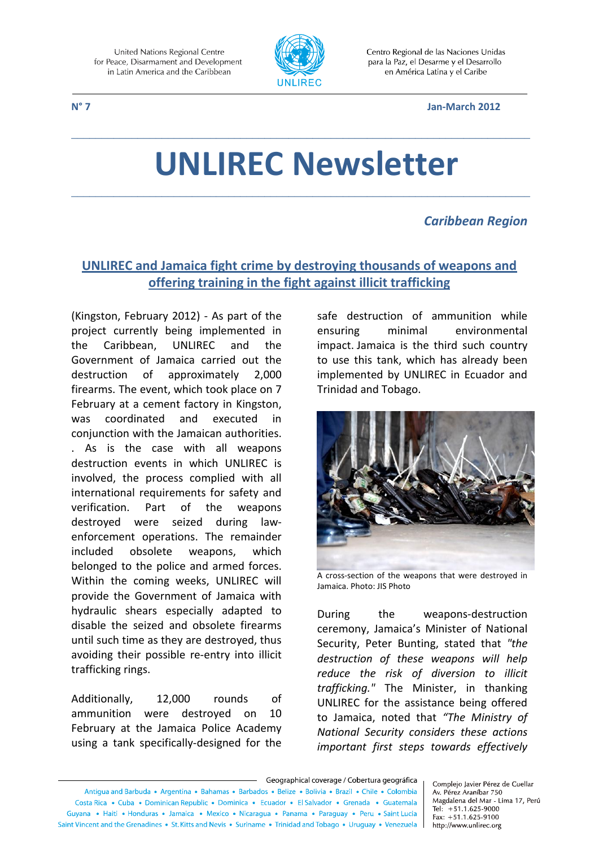

Centro Regional de las Naciones Unidas para la Paz, el Desarme y el Desarrollo en América Latina y el Caribe

#### **N° 7 Jan-March 2012**

# **UNLIREC Newsletter**

\_\_\_\_\_\_\_\_\_\_\_\_\_\_\_\_\_\_\_\_\_\_\_\_\_\_\_\_\_\_\_\_\_\_\_\_\_\_\_\_\_\_\_\_\_\_\_\_\_\_\_\_\_\_\_\_\_\_\_\_\_\_\_\_\_\_\_\_\_\_\_\_\_\_\_\_

\_\_\_\_\_\_\_\_\_\_\_\_\_\_\_\_\_\_\_\_\_\_\_\_\_\_\_\_\_\_\_\_\_\_\_\_\_\_\_\_\_\_\_\_\_\_\_\_\_\_\_\_\_\_\_\_\_\_\_\_\_\_\_\_\_\_\_\_\_\_\_\_\_\_\_\_

#### *Caribbean Region*

### **UNLIREC and Jamaica fight crime by destroying thousands of weapons and offering training in the fight against illicit trafficking**

(Kingston, February 2012) - As part of the project currently being implemented in the Caribbean, UNLIREC and the Government of Jamaica carried out the destruction of approximately 2,000 firearms. The event, which took place on 7 February at a cement factory in Kingston, was coordinated and executed in conjunction with the Jamaican authorities. . As is the case with all weapons destruction events in which UNLIREC is involved, the process complied with all international requirements for safety and verification. Part of the weapons destroyed were seized during lawenforcement operations. The remainder included obsolete weapons, which belonged to the police and armed forces. Within the coming weeks, UNLIREC will provide the Government of Jamaica with hydraulic shears especially adapted to disable the seized and obsolete firearms until such time as they are destroyed, thus avoiding their possible re-entry into illicit trafficking rings.

Additionally, 12,000 rounds of ammunition were destroyed on 10 February at the Jamaica Police Academy using a tank specifically-designed for the safe destruction of ammunition while ensuring minimal environmental impact. Jamaica is the third such country to use this tank, which has already been implemented by UNLIREC in Ecuador and Trinidad and Tobago.



A cross-section of the weapons that were destroyed in Jamaica. Photo: JIS Photo

During the weapons-destruction ceremony, Jamaica's Minister of National Security, Peter Bunting, stated that *"the destruction of these weapons will help reduce the risk of diversion to illicit trafficking."* The Minister, in thanking UNLIREC for the assistance being offered to Jamaica, noted that *"The Ministry of National Security considers these actions important first steps towards effectively* 

Geographical coverage / Cobertura geográfica Antiqua and Barbuda • Argentina • Bahamas • Barbados • Belize • Bolivia • Brazil • Chile • Colombia Costa Rica • Cuba • Dominican Republic • Dominica • Ecuador • El Salvador • Grenada • Guatemala Guyana • Haiti • Honduras • Jamaica • Mexico • Nicaragua • Panama • Paraguay • Peru • Saint Lucia Saint Vincent and the Grenadines • St. Kitts and Nevis • Suriname • Trinidad and Tobago • Uruguay • Venezuela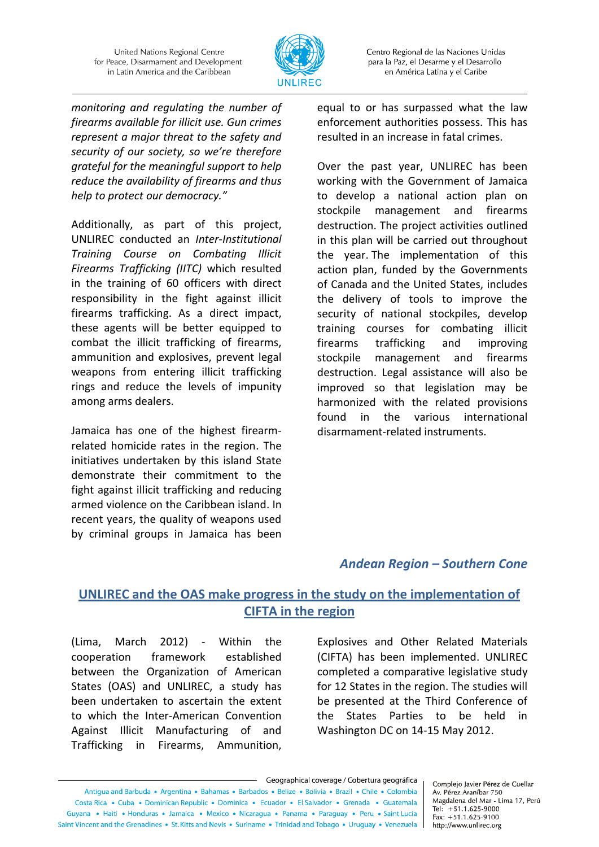

Centro Regional de las Naciones Unidas para la Paz, el Desarme y el Desarrollo en América Latina y el Caribe

*monitoring and regulating the number of firearms available for illicit use. Gun crimes represent a major threat to the safety and security of our society, so we're therefore grateful for the meaningful support to help reduce the availability of firearms and thus help to protect our democracy."*

Additionally, as part of this project, UNLIREC conducted an *Inter-Institutional Training Course on Combating Illicit Firearms Trafficking (IITC)* which resulted in the training of 60 officers with direct responsibility in the fight against illicit firearms trafficking. As a direct impact, these agents will be better equipped to combat the illicit trafficking of firearms, ammunition and explosives, prevent legal weapons from entering illicit trafficking rings and reduce the levels of impunity among arms dealers.

Jamaica has one of the highest firearmrelated homicide rates in the region. The initiatives undertaken by this island State demonstrate their commitment to the fight against illicit trafficking and reducing armed violence on the Caribbean island. In recent years, the quality of weapons used by criminal groups in Jamaica has been equal to or has surpassed what the law enforcement authorities possess. This has resulted in an increase in fatal crimes.

Over the past year, UNLIREC has been working with the Government of Jamaica to develop a national action plan on stockpile management and firearms destruction. The project activities outlined in this plan will be carried out throughout the year. The implementation of this action plan, funded by the Governments of Canada and the United States, includes the delivery of tools to improve the security of national stockpiles, develop training courses for combating illicit firearms trafficking and improving stockpile management and firearms destruction. Legal assistance will also be improved so that legislation may be harmonized with the related provisions found in the various international disarmament-related instruments.

#### *Andean Region – Southern Cone*

# **UNLIREC and the OAS make progress in the study on the implementation of CIFTA in the region**

(Lima, March 2012) - Within the cooperation framework established between the Organization of American States (OAS) and UNLIREC, a study has been undertaken to ascertain the extent to which the Inter-American Convention Against Illicit Manufacturing of and Trafficking in Firearms, Ammunition,

Explosives and Other Related Materials (CIFTA) has been implemented. UNLIREC completed a comparative legislative study for 12 States in the region. The studies will be presented at the Third Conference of the States Parties to be held in Washington DC on 14-15 May 2012.

- Geographical coverage / Cobertura geográfica Antiqua and Barbuda • Argentina • Bahamas • Barbados • Belize • Bolivia • Brazil • Chile • Colombia Costa Rica • Cuba • Dominican Republic • Dominica • Ecuador • El Salvador • Grenada • Guatemala Guyana • Haiti • Honduras • Jamaica • Mexico • Nicaragua • Panama • Paraguay • Peru • Saint Lucia Saint Vincent and the Grenadines • St. Kitts and Nevis • Suriname • Trinidad and Tobago • Uruguay • Venezuela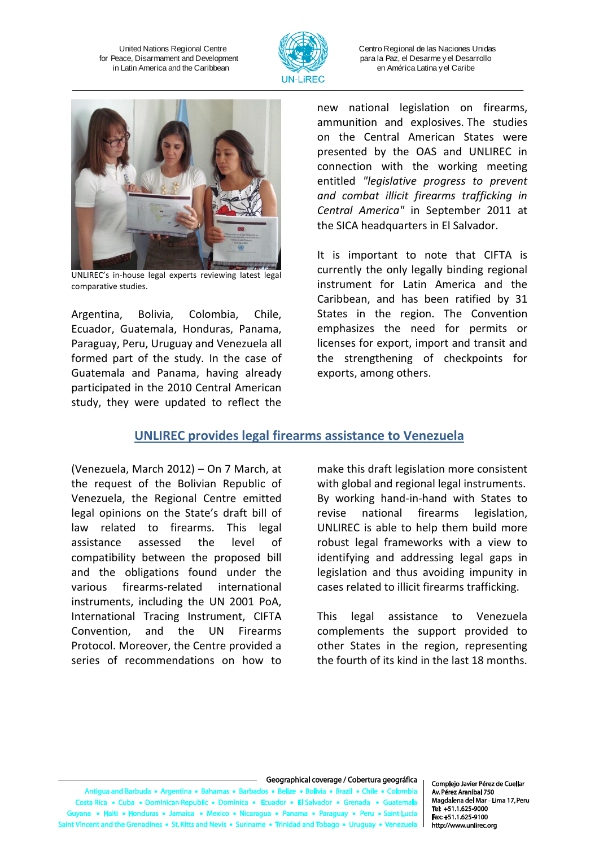

Centro Regional de las Naciones Unidas para la Paz, el Desarme y el Desarrollo en América Latina y el Caribe



UNLIREC's in-house legal experts reviewing latest legal comparative studies.

Argentina, Bolivia, Colombia, Chile, Ecuador, Guatemala, Honduras, Panama, Paraguay, Peru, Uruguay and Venezuela all formed part of the study. In the case of Guatemala and Panama, having already participated in the 2010 Central American study, they were updated to reflect the new national legislation on firearms, ammunition and explosives. The studies on the Central American States were presented by the OAS and UNLIREC in connection with the working meeting entitled *"legislative progress to prevent and combat illicit firearms trafficking in Central America"* in September 2011 at the SICA headquarters in El Salvador.

It is important to note that CIFTA is currently the only legally binding regional instrument for Latin America and the Caribbean, and has been ratified by 31 States in the region. The Convention emphasizes the need for permits or licenses for export, import and transit and the strengthening of checkpoints for exports, among others.

#### **UNLIREC provides legal firearms assistance to Venezuela**

(Venezuela, March 2012) – On 7 March, at the request of the Bolivian Republic of Venezuela, the Regional Centre emitted legal opinions on the State's draft bill of law related to firearms. This legal assistance assessed the level of compatibility between the proposed bill and the obligations found under the various firearms-related international instruments, including the UN 2001 PoA, International Tracing Instrument, CIFTA Convention, and the UN Firearms Protocol. Moreover, the Centre provided a series of recommendations on how to

make this draft legislation more consistent with global and regional legal instruments. By working hand-in-hand with States to revise national firearms legislation, UNLIREC is able to help them build more robust legal frameworks with a view to identifying and addressing legal gaps in legislation and thus avoiding impunity in cases related to illicit firearms trafficking.

This legal assistance to Venezuela complements the support provided to other States in the region, representing the fourth of its kind in the last 18 months.

#### Geographical coverage / Cobertura geográfica

uda • Argentina • Bah ua and Barb as • Ba s a Reli e e Rolivia e Brazil e Chile e Colombi ta Rica • Cuba • Dominican Republic • Dominica • Ecu dor • Gi  $or - El S<sub>i</sub>$ a • Haiti • Honduras • Jamaica • Mexico • Nicaragua • Pana ima • Par • Peru • Saint Lu nes • St. Kitts and Nevis • Suriname • Trinidad and Tol nt and the Grenadir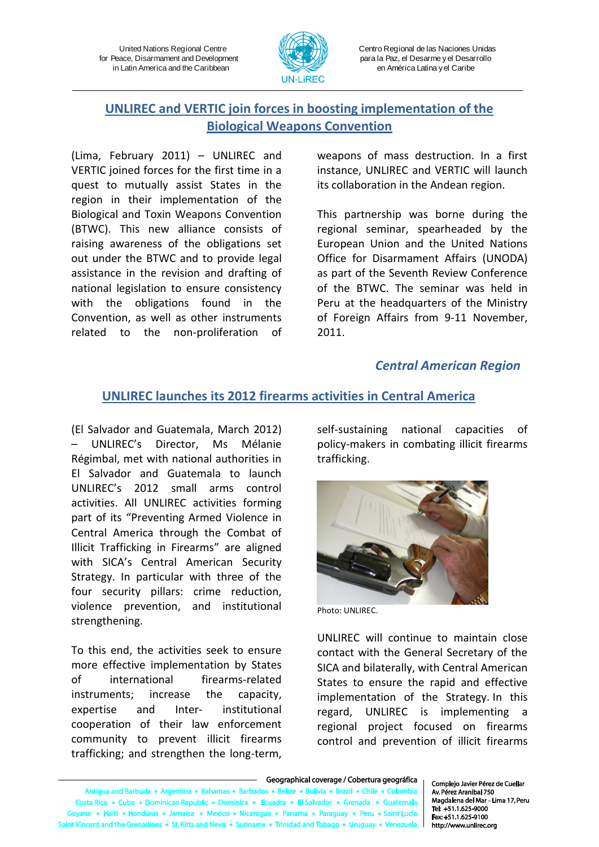

Centro Regional de las Naciones Unidas para la Paz, el Desarme y el Desarrollo en América Latina y el Caribe

# **UNLIREC and VERTIC join forces in boosting implementation of the Biological Weapons Convention**

(Lima, February 2011) – UNLIREC and VERTIC joined forces for the first time in a quest to mutually assist States in the region in their implementation of the Biological and Toxin Weapons Convention (BTWC). This new alliance consists of raising awareness of the obligations set out under the BTWC and to provide legal assistance in the revision and drafting of national legislation to ensure consistency with the obligations found in the Convention, as well as other instruments related to the non-proliferation of

weapons of mass destruction. In a first instance, UNLIREC and VERTIC will launch its collaboration in the Andean region.

This partnership was borne during the regional seminar, spearheaded by the European Union and the United Nations Office for Disarmament Affairs (UNODA) as part of the Seventh Review Conference of the BTWC. The seminar was held in Peru at the headquarters of the Ministry of Foreign Affairs from 9-11 November, 2011.

#### *Central American Region*

#### **UNLIREC launches its 2012 firearms activities in Central America**

(El Salvador and Guatemala, March 2012) – UNLIREC's Director, Ms Mélanie Régimbal, met with national authorities in El Salvador and Guatemala to launch UNLIREC's 2012 small arms control activities. All UNLIREC activities forming part of its "Preventing Armed Violence in Central America through the Combat of Illicit Trafficking in Firearms" are aligned with SICA's Central American Security Strategy. In particular with three of the four security pillars: crime reduction, violence prevention, and institutional strengthening.

To this end, the activities seek to ensure more effective implementation by States of international firearms-related instruments; increase the capacity, expertise and Inter- institutional cooperation of their law enforcement community to prevent illicit firearms trafficking; and strengthen the long-term, self-sustaining national capacities of policy-makers in combating illicit firearms trafficking.



Photo: UNLIREC.

UNLIREC will continue to maintain close contact with the General Secretary of the SICA and bilaterally, with Central American States to ensure the rapid and effective implementation of the Strategy. In this regard, UNLIREC is implementing a regional project focused on firearms control and prevention of illicit firearms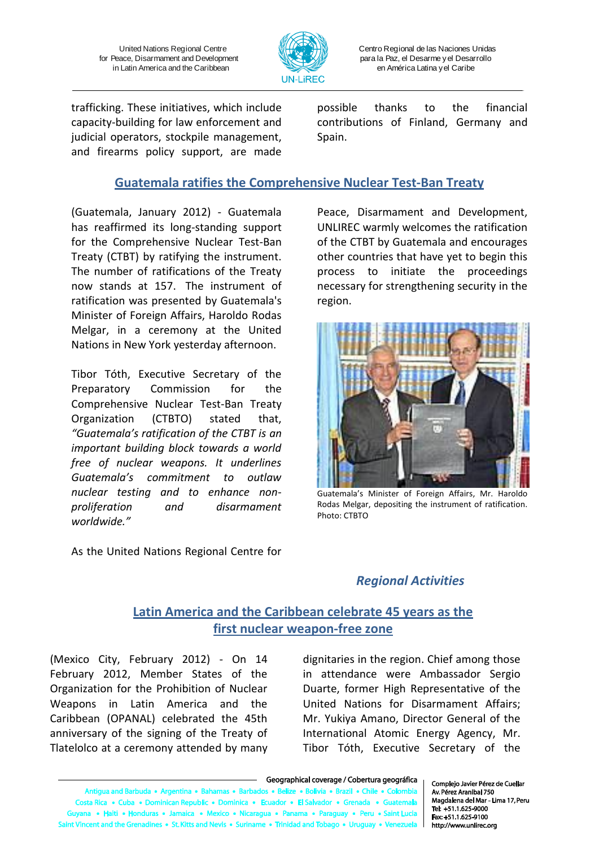

Centro Regional de las Naciones Unidas para la Paz, el Desarme y el Desarrollo en América Latina y el Caribe

trafficking. These initiatives, which include capacity-building for law enforcement and judicial operators, stockpile management, and firearms policy support, are made

possible thanks to the financial contributions of Finland, Germany and Spain.

#### **Guatemala ratifies the Comprehensive Nuclear Test-Ban Treaty**

(Guatemala, January 2012) - Guatemala has reaffirmed its long-standing support for the Comprehensive Nuclear Test-Ban Treaty (CTBT) by ratifying the instrument. The number of ratifications of the Treaty now stands at 157. The instrument of ratification was presented by Guatemala's Minister of Foreign Affairs, Haroldo Rodas Melgar, in a ceremony at the United Nations in New York yesterday afternoon.

Tibor Tóth, Executive Secretary of the Preparatory Commission for the Comprehensive Nuclear Test-Ban Treaty Organization (CTBTO) stated that, *"Guatemala's ratification of the CTBT is an important building block towards a world free of nuclear weapons. It underlines Guatemala's commitment to outlaw nuclear testing and to enhance nonproliferation and disarmament worldwide."*

As the United Nations Regional Centre for

Peace, Disarmament and Development, UNLIREC warmly welcomes the ratification of the CTBT by Guatemala and encourages other countries that have yet to begin this process to initiate the proceedings necessary for strengthening security in the region.



Guatemala's Minister of Foreign Affairs, Mr. Haroldo Rodas Melgar, depositing the instrument of ratification. Photo: CTBTO

# *Regional Activities*

# **Latin America and the Caribbean celebrate 45 years as the first nuclear weapon-free zone**

(Mexico City, February 2012) - On 14 February 2012, Member States of the Organization for the Prohibition of Nuclear Weapons in Latin America and the Caribbean (OPANAL) celebrated the 45th anniversary of the signing of the Treaty of Tlatelolco at a ceremony attended by many

dignitaries in the region. Chief among those in attendance were Ambassador Sergio Duarte, former High Representative of the United Nations for Disarmament Affairs; Mr. Yukiya Amano, Director General of the International Atomic Energy Agency, Mr. Tibor Tóth, Executive Secretary of the

Vincent and the Grenadines • St. Kitts and Nevis • Suriname • Trinidad and Tobago • Urugua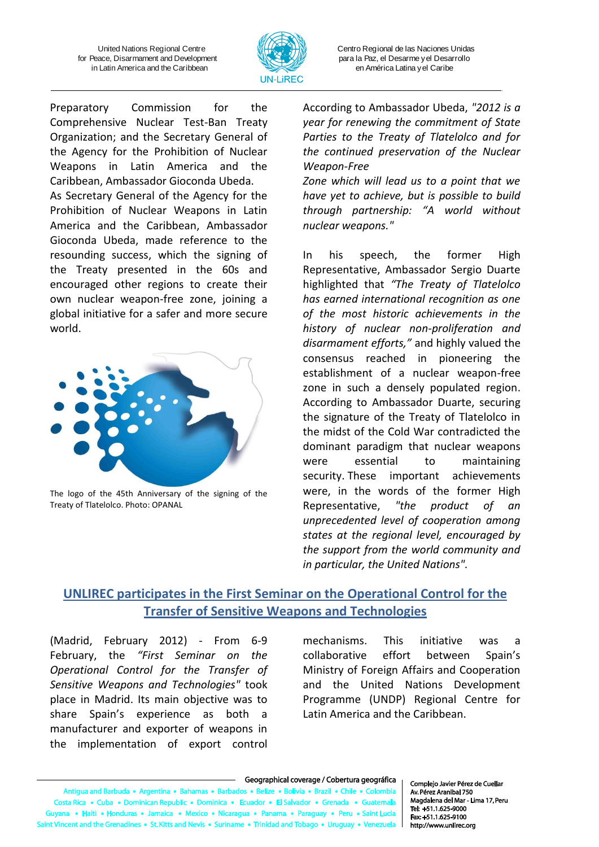

Centro Regional de las Naciones Unidas para la Paz, el Desarme y el Desarrollo en América Latina y el Caribe

Preparatory Commission for the Comprehensive Nuclear Test-Ban Treaty Organization; and the Secretary General of the Agency for the Prohibition of Nuclear Weapons in Latin America and the Caribbean, Ambassador Gioconda Ubeda. As Secretary General of the Agency for the Prohibition of Nuclear Weapons in Latin America and the Caribbean, Ambassador Gioconda Ubeda, made reference to the resounding success, which the signing of the Treaty presented in the 60s and encouraged other regions to create their own nuclear weapon-free zone, joining a global initiative for a safer and more secure world.



The logo of the 45th Anniversary of the signing of the Treaty of Tlatelolco. Photo: OPANAL

According to Ambassador Ubeda, *"2012 is a year for renewing the commitment of State Parties to the Treaty of Tlatelolco and for the continued preservation of the Nuclear Weapon-Free*

*Zone which will lead us to a point that we have yet to achieve, but is possible to build through partnership: "A world without nuclear weapons."*

In his speech, the former High Representative, Ambassador Sergio Duarte highlighted that *"The Treaty of Tlatelolco has earned international recognition as one of the most historic achievements in the history of nuclear non-proliferation and disarmament efforts,"* and highly valued the consensus reached in pioneering the establishment of a nuclear weapon-free zone in such a densely populated region. According to Ambassador Duarte, securing the signature of the Treaty of Tlatelolco in the midst of the Cold War contradicted the dominant paradigm that nuclear weapons were essential to maintaining security. These important achievements were, in the words of the former High Representative, *"the product of an unprecedented level of cooperation among states at the regional level, encouraged by the support from the world community and in particular, the United Nations".*

#### **UNLIREC participates in the First Seminar on the Operational Control for the Transfer of Sensitive Weapons and Technologies**

(Madrid, February 2012) - From 6-9 February, the *"First Seminar on the Operational Control for the Transfer of Sensitive Weapons and Technologies"* took place in Madrid. Its main objective was to share Spain's experience as both a manufacturer and exporter of weapons in the implementation of export control

mechanisms. This initiative was a collaborative effort between Spain's Ministry of Foreign Affairs and Cooperation and the United Nations Development Programme (UNDP) Regional Centre for Latin America and the Caribbean.

a and Barbuda • Argentina • Bah s • Bart dos e Reliz re • Bolivia • Brazil • Chile • Colombia Costa Rica · Cuba · Dominican Republic · Dominica · Ecua dor • El Salvador • Grer da • Gi na • Haiti • Honduras • Jamaica • Mexico • Nicaragua • Panama • Paraguay • Peru • Saint Luc It Vincent and the Grenadines • St. Kitts and Nevis • Suriname • Trinidad and Tob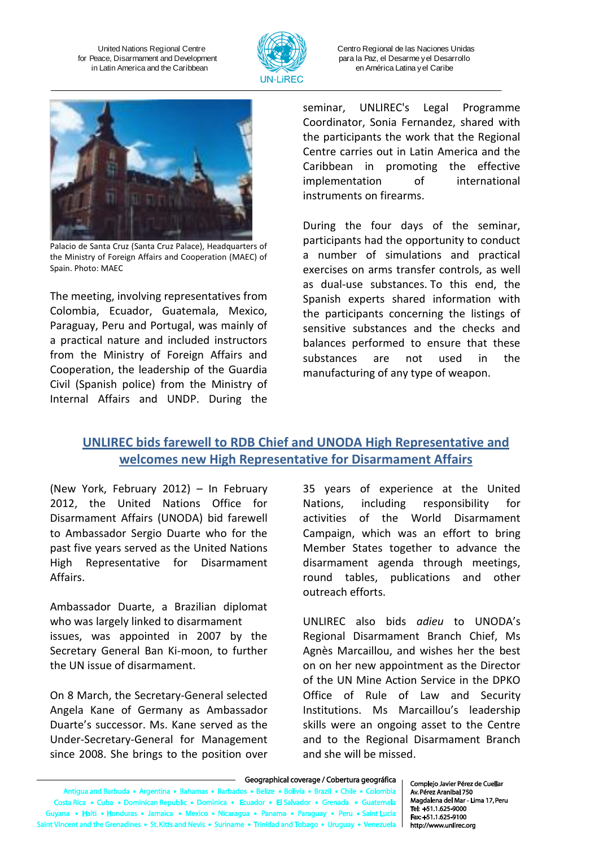

Centro Regional de las Naciones Unidas para la Paz, el Desarme y el Desarrollo en América Latina y el Caribe



Palacio de Santa Cruz (Santa Cruz Palace), Headquarters of the Ministry of Foreign Affairs and Cooperation (MAEC) of Spain. Photo: MAEC

The meeting, involving representatives from Colombia, Ecuador, Guatemala, Mexico, Paraguay, Peru and Portugal, was mainly of a practical nature and included instructors from the Ministry of Foreign Affairs and Cooperation, the leadership of the Guardia Civil (Spanish police) from the Ministry of Internal Affairs and UNDP. During the

seminar, UNLIREC's Legal Programme Coordinator, Sonia Fernandez, shared with the participants the work that the Regional Centre carries out in Latin America and the Caribbean in promoting the effective implementation of international instruments on firearms.

During the four days of the seminar, participants had the opportunity to conduct a number of simulations and practical exercises on arms transfer controls, as well as dual-use substances. To this end, the Spanish experts shared information with the participants concerning the listings of sensitive substances and the checks and balances performed to ensure that these substances are not used in the manufacturing of any type of weapon.

#### **UNLIREC bids farewell to RDB Chief and UNODA High Representative and welcomes new High Representative for Disarmament Affairs**

(New York, February 2012) – In February 2012, the United Nations Office for Disarmament Affairs (UNODA) bid farewell to Ambassador Sergio Duarte who for the past five years served as the United Nations High Representative for Disarmament Affairs.

Ambassador Duarte, a Brazilian diplomat who was largely linked to disarmament issues, was appointed in 2007 by the Secretary General Ban Ki-moon, to further the UN issue of disarmament.

On 8 March, the Secretary-General selected Angela Kane of Germany as Ambassador Duarte's successor. Ms. Kane served as the [Under-Secretary-General for Management](http://www.un.org/News/Press/docs/2008/sga1135.doc.htm) since 2008. She brings to the position over

35 years of experience at the United Nations, including responsibility for activities of the World Disarmament Campaign, which was an effort to bring Member States together to advance the disarmament agenda through meetings, round tables, publications and other outreach efforts.

UNLIREC also bids *adieu* to UNODA's Regional Disarmament Branch Chief, Ms Agnès Marcaillou, and wishes her the best on on her new appointment as the Director of the UN Mine Action Service in the DPKO Office of Rule of Law and Security Institutions. Ms Marcaillou's leadership skills were an ongoing asset to the Centre and to the Regional Disarmament Branch and she will be missed.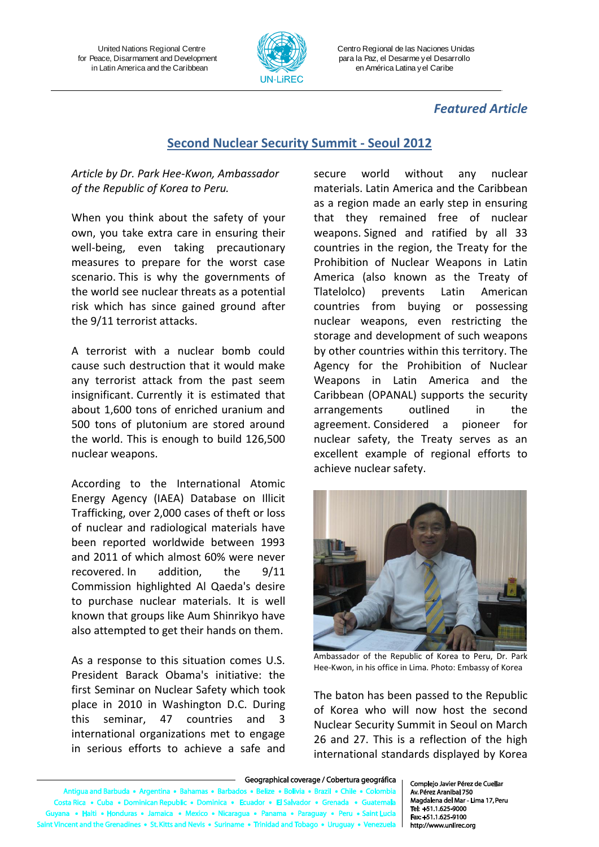

Centro Regional de las Naciones Unidas para la Paz, el Desarme y el Desarrollo en América Latina y el Caribe

#### *Featured Article*

#### **Second Nuclear Security Summit - Seoul 2012**

#### *Article by Dr. Park Hee-Kwon, Ambassador of the Republic of Korea to Peru.*

When you think about the safety of your own, you take extra care in ensuring their well-being, even taking precautionary measures to prepare for the worst case scenario. This is why the governments of the world see nuclear threats as a potential risk which has since gained ground after the 9/11 terrorist attacks.

A terrorist with a nuclear bomb could cause such destruction that it would make any terrorist attack from the past seem insignificant. Currently it is estimated that about 1,600 tons of enriched uranium and 500 tons of plutonium are stored around the world. This is enough to build 126,500 nuclear weapons.

According to the International Atomic Energy Agency (IAEA) Database on Illicit Trafficking, over 2,000 cases of theft or loss of nuclear and radiological materials have been reported worldwide between 1993 and 2011 of which almost 60% were never recovered. In addition, the 9/11 Commission highlighted Al Qaeda's desire to purchase nuclear materials. It is well known that groups like Aum Shinrikyo have also attempted to get their hands on them.

As a response to this situation comes U.S. President Barack Obama's initiative: the first Seminar on Nuclear Safety which took place in 2010 in Washington D.C. During this seminar, 47 countries and 3 international organizations met to engage in serious efforts to achieve a safe and secure world without any nuclear materials. Latin America and the Caribbean as a region made an early step in ensuring that they remained free of nuclear weapons. Signed and ratified by all 33 countries in the region, the Treaty for the Prohibition of Nuclear Weapons in Latin America (also known as the Treaty of Tlatelolco) prevents Latin American countries from buying or possessing nuclear weapons, even restricting the storage and development of such weapons by other countries within this territory. The Agency for the Prohibition of Nuclear Weapons in Latin America and the Caribbean (OPANAL) supports the security arrangements outlined in the agreement. Considered a pioneer for nuclear safety, the Treaty serves as an excellent example of regional efforts to achieve nuclear safety.



Ambassador of the Republic of Korea to Peru, Dr. Park Hee-Kwon, in his office in Lima. Photo: Embassy of Korea

The baton has been passed to the Republic of Korea who will now host the second Nuclear Security Summit in Seoul on March 26 and 27. This is a reflection of the high international standards displayed by Korea

#### Geographical coverage / Cobertura geográfica

Antigua and Barbuda . Argentina . Baha s • Bart dos • Belize • Bolivia • Brazil • Chile • Colombia Costa Rica · Cuba · Dominican Republic · Dominica · Ecua dor • El Salvador • Gren da • Gu na • Haiti • Honduras • Jamaica • Mexico • Nicaraqua • Panama • Paraquay • Peru • Saint Luci It Vincent and the Grenadines • St. Kitts and Nevis • Suriname • Trinidad and Tobago • Urugu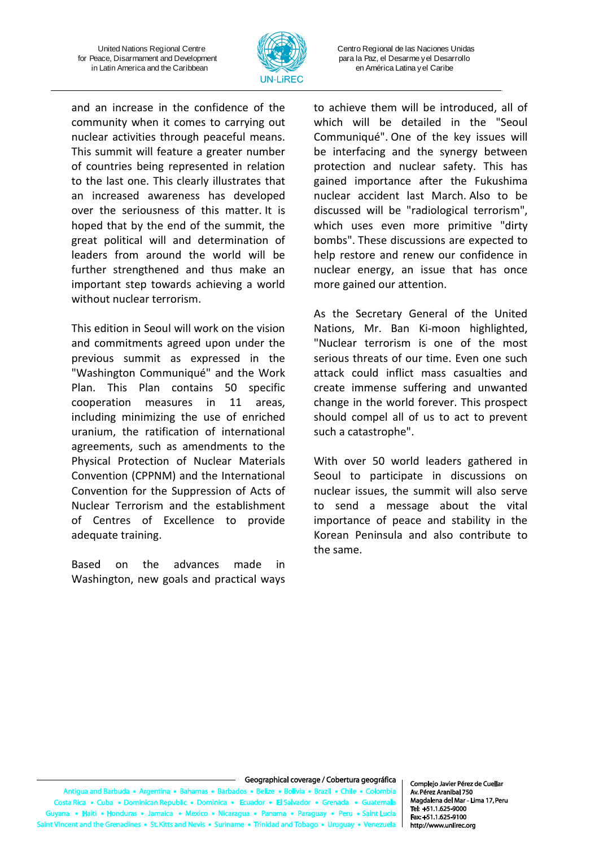

Centro Regional de las Naciones Unidas para la Paz, el Desarme y el Desarrollo en América Latina y el Caribe

and an increase in the confidence of the community when it comes to carrying out nuclear activities through peaceful means. This summit will feature a greater number of countries being represented in relation to the last one. This clearly illustrates that an increased awareness has developed over the seriousness of this matter. It is hoped that by the end of the summit, the great political will and determination of leaders from around the world will be further strengthened and thus make an important step towards achieving a world without nuclear terrorism.

This edition in Seoul will work on the vision and commitments agreed upon under the previous summit as expressed in the "Washington Communiqué" and the Work Plan. This Plan contains 50 specific cooperation measures in 11 areas, including minimizing the use of enriched uranium, the ratification of international agreements, such as amendments to the Physical Protection of Nuclear Materials Convention (CPPNM) and the International Convention for the Suppression of Acts of Nuclear Terrorism and the establishment of Centres of Excellence to provide adequate training.

Based on the advances made in Washington, new goals and practical ways to achieve them will be introduced, all of which will be detailed in the "Seoul Communiqué". One of the key issues will be interfacing and the synergy between protection and nuclear safety. This has gained importance after the Fukushima nuclear accident last March. Also to be discussed will be "radiological terrorism", which uses even more primitive "dirty bombs". These discussions are expected to help restore and renew our confidence in nuclear energy, an issue that has once more gained our attention.

As the Secretary General of the United Nations, Mr. Ban Ki-moon highlighted, "Nuclear terrorism is one of the most serious threats of our time. Even one such attack could inflict mass casualties and create immense suffering and unwanted change in the world forever. This prospect should compel all of us to act to prevent such a catastrophe".

With over 50 world leaders gathered in Seoul to participate in discussions on nuclear issues, the summit will also serve to send a message about the vital importance of peace and stability in the Korean Peninsula and also contribute to the same.

#### Geographical coverage / Cobertura geográfica

Antigua and Barbuda . Argentina . Bahama s • Barb dos • Belize • Bolivia • Brazil • Chile • Colombia Costa Rica · Cuba · Dominican Republic · Dominica · Ecuador · El Salvador · Gren da • Gu na • Haiti • Honduras • Jamaica • Mexico • Nicaraqua • Panama • Paraquay • Peru • Saint Luci int Vincent and the Grenadines • St. Kitts and Nevis • Suriname • Trinidad and Tobago • Urug